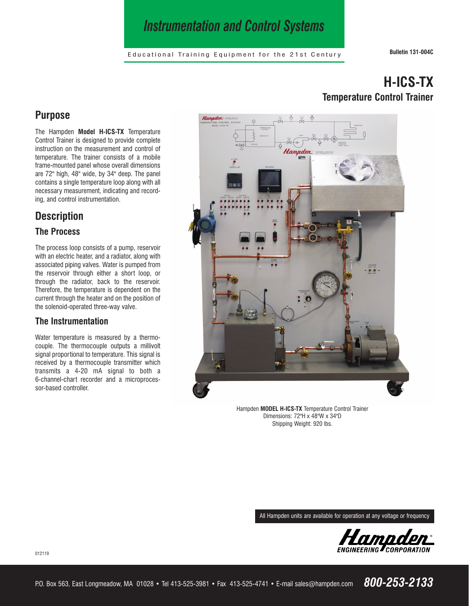# *Instrumentation and Control Systems*

Educational Training Equipment for the 21st Century **Bulletin 131-004C**

#### **Purpose**

The Hampden **Model H-ICS-TX** Temperature Control Trainer is designed to provide complete instruction on the measurement and control of temperature. The trainer consists of a mobile frame-mounted panel whose overall dimensions are 72" high, 48" wide, by 34" deep. The panel contains a single temperature loop along with all necessary measurement, indicating and recording, and control instrumentation.

## **Description**

#### **The Process**

The process loop consists of a pump, reservoir with an electric heater, and a radiator, along with associated piping valves. Water is pumped from the reservoir through either a short loop, or through the radiator, back to the reservoir. Therefore, the temperature is dependent on the current through the heater and on the position of the solenoid-operated three-way valve.

#### **The Instrumentation**

Water temperature is measured by a thermocouple. The thermocouple outputs a millivolt signal proportional to temperature. This signal is received by a thermocouple transmitter which transmits a 4-20 mA signal to both a 6-channel-chart recorder and a microprocessor-based controller.

# **H-ICS-TX Temperature Control Trainer**



Hampden **MODEL H-ICS-TX** Temperature Control Trainer Dimensions: 72"H x 48"W x 34"D Shipping Weight: 920 lbs.

All Hampden units are available for operation at any voltage or frequency